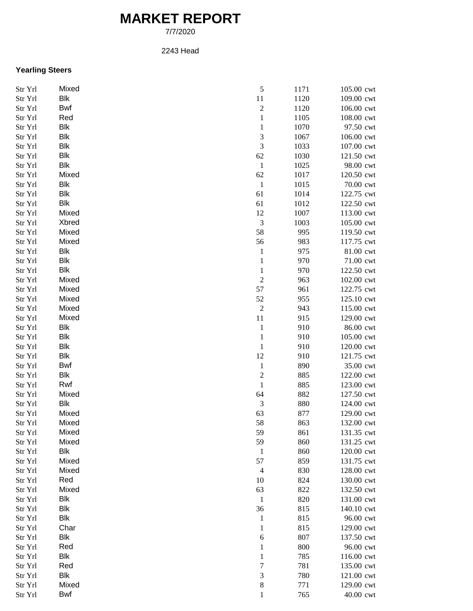## **MARKET REPORT**

7/7/2020

## 2243 Head

## **Yearling Steers**

| Str Yrl | Mixed      | 5                        | 1171 | 105.00 cwt |
|---------|------------|--------------------------|------|------------|
| Str Yrl | Blk        | $11\,$                   | 1120 | 109.00 cwt |
| Str Yrl | <b>Bwf</b> | $\sqrt{2}$               | 1120 | 106.00 cwt |
| Str Yrl | Red        | $\mathbf{1}$             | 1105 | 108.00 cwt |
| Str Yrl | <b>Blk</b> | $\mathbf{1}$             | 1070 | 97.50 cwt  |
| Str Yrl | <b>Blk</b> | 3                        | 1067 | 106.00 cwt |
| Str Yrl | Blk        | 3                        | 1033 | 107.00 cwt |
| Str Yrl | Blk        | 62                       | 1030 | 121.50 cwt |
| Str Yrl | <b>Blk</b> | $\mathbf{1}$             | 1025 | 98.00 cwt  |
| Str Yrl | Mixed      | 62                       | 1017 | 120.50 cwt |
| Str Yrl | <b>Blk</b> | $\mathbf{1}$             | 1015 | 70.00 cwt  |
| Str Yrl | <b>Blk</b> | 61                       | 1014 | 122.75 cwt |
| Str Yrl | <b>Blk</b> | 61                       | 1012 | 122.50 cwt |
| Str Yrl | Mixed      | 12                       | 1007 | 113.00 cwt |
| Str Yrl | Xbred      | 3                        | 1003 | 105.00 cwt |
|         | Mixed      | 58                       | 995  |            |
| Str Yrl |            |                          |      | 119.50 cwt |
| Str Yrl | Mixed      | 56                       | 983  | 117.75 cwt |
| Str Yrl | Blk        | $\mathbf{1}$             | 975  | 81.00 cwt  |
| Str Yrl | <b>Blk</b> | $\mathbf{1}$             | 970  | 71.00 cwt  |
| Str Yrl | <b>Blk</b> | $\mathbf{1}$             | 970  | 122.50 cwt |
| Str Yrl | Mixed      | $\overline{c}$           | 963  | 102.00 cwt |
| Str Yrl | Mixed      | 57                       | 961  | 122.75 cwt |
| Str Yrl | Mixed      | 52                       | 955  | 125.10 cwt |
| Str Yrl | Mixed      | $\boldsymbol{2}$         | 943  | 115.00 cwt |
| Str Yrl | Mixed      | 11                       | 915  | 129.00 cwt |
| Str Yrl | <b>Blk</b> | $\mathbf{1}$             | 910  | 86.00 cwt  |
| Str Yrl | Blk        | $\mathbf{1}$             | 910  | 105.00 cwt |
| Str Yrl | <b>Blk</b> | 1                        | 910  | 120.00 cwt |
| Str Yrl | <b>Blk</b> | 12                       | 910  | 121.75 cwt |
| Str Yrl | Bwf        | $\mathbf{1}$             | 890  | 35.00 cwt  |
| Str Yrl | <b>Blk</b> | $\overline{c}$           | 885  | 122.00 cwt |
| Str Yrl | Rwf        | $\mathbf{1}$             | 885  | 123.00 cwt |
| Str Yrl | Mixed      | 64                       | 882  | 127.50 cwt |
| Str Yrl | Blk        | $\mathfrak{Z}$           | 880  | 124.00 cwt |
| Str Yrl | Mixed      | 63                       | 877  | 129.00 cwt |
| Str Yrl | Mixed      | 58                       | 863  | 132.00 cwt |
| Str Yrl | Mixed      | 59                       | 861  | 131.35 cwt |
| Str Yrl | Mixed      | 59                       | 860  | 131.25 cwt |
| Str Yrl | <b>Blk</b> | $\mathbf{1}$             | 860  | 120.00 cwt |
| Str Yrl | Mixed      | 57                       | 859  | 131.75 cwt |
| Str Yrl | Mixed      | $\overline{\mathcal{A}}$ | 830  | 128.00 cwt |
| Str Yrl | Red        | 10                       | 824  | 130.00 cwt |
| Str Yrl | Mixed      | 63                       | 822  | 132.50 cwt |
| Str Yrl | <b>Blk</b> | $\mathbf{1}$             | 820  | 131.00 cwt |
| Str Yrl | Blk        | 36                       | 815  | 140.10 cwt |
| Str Yrl | <b>Blk</b> | 1                        | 815  | 96.00 cwt  |
| Str Yrl | Char       | 1                        | 815  | 129.00 cwt |
|         | Blk        |                          |      |            |
| Str Yrl |            | 6                        | 807  | 137.50 cwt |
| Str Yrl | Red        | 1                        | 800  | 96.00 cwt  |
| Str Yrl | Blk        | $\mathbf{1}$             | 785  | 116.00 cwt |
| Str Yrl | Red        | 7                        | 781  | 135.00 cwt |
| Str Yrl | Blk        | 3                        | 780  | 121.00 cwt |
| Str Yrl | Mixed      | $\,$ 8 $\,$              | 771  | 129.00 cwt |
| Str Yrl | <b>Bwf</b> | $\mathbf{1}$             | 765  | 40.00 cwt  |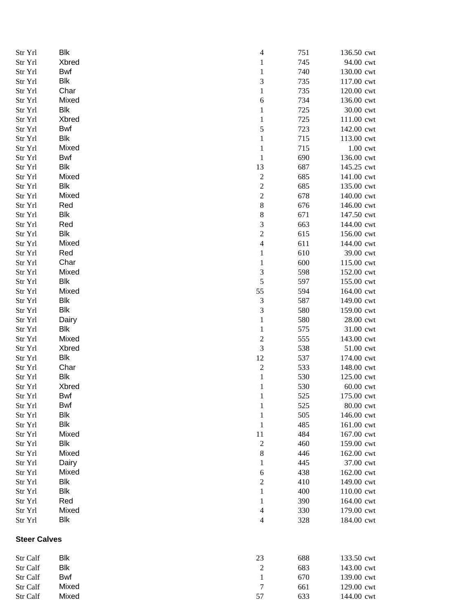| Str Yrl             | <b>Blk</b> | 4                       | 751 | 136.50 cwt |
|---------------------|------------|-------------------------|-----|------------|
| Str Yrl             | Xbred      | $\mathbf{1}$            | 745 | 94.00 cwt  |
| Str Yrl             | Bwf        | $\mathbf{1}$            | 740 | 130.00 cwt |
| Str Yrl             | <b>Blk</b> | 3                       | 735 | 117.00 cwt |
| Str Yrl             | Char       | $\mathbf 1$             | 735 | 120.00 cwt |
| Str Yrl             | Mixed      | 6                       | 734 | 136.00 cwt |
| Str Yrl             | <b>Blk</b> | $\mathbf{1}$            | 725 | 30.00 cwt  |
| Str Yrl             | Xbred      | $\mathbf{1}$            | 725 | 111.00 cwt |
| Str Yrl             | <b>Bwf</b> | 5                       | 723 | 142.00 cwt |
| Str Yrl             | <b>Blk</b> | $\mathbf{1}$            | 715 | 113.00 cwt |
| Str Yrl             | Mixed      | $\mathbf{1}$            | 715 | 1.00 cwt   |
| Str Yrl             | Bwf        | $\mathbf{1}$            | 690 | 136.00 cwt |
| Str Yrl             | <b>Blk</b> | 13                      | 687 | 145.25 cwt |
| Str Yrl             | Mixed      | $\sqrt{2}$              | 685 | 141.00 cwt |
| Str Yrl             | <b>Blk</b> | $\overline{\mathbf{c}}$ | 685 | 135.00 cwt |
| Str Yrl             | Mixed      | $\boldsymbol{2}$        | 678 | 140.00 cwt |
| Str Yrl             | Red        | 8                       | 676 | 146.00 cwt |
|                     | Blk        |                         |     |            |
| Str Yrl             |            | 8                       | 671 | 147.50 cwt |
| Str Yrl             | Red        | 3                       | 663 | 144.00 cwt |
| Str Yrl             | Blk        | $\overline{\mathbf{c}}$ | 615 | 156.00 cwt |
| Str Yrl             | Mixed      | $\overline{4}$          | 611 | 144.00 cwt |
| Str Yrl             | Red        | $\mathbf{1}$            | 610 | 39.00 cwt  |
| Str Yrl             | Char       | $\mathbf{1}$            | 600 | 115.00 cwt |
| Str Yrl             | Mixed      | 3                       | 598 | 152.00 cwt |
| Str Yrl             | Blk        | 5                       | 597 | 155.00 cwt |
| Str Yrl             | Mixed      | 55                      | 594 | 164.00 cwt |
| Str Yrl             | Blk        | 3                       | 587 | 149.00 cwt |
| Str Yrl             | <b>Blk</b> | $\mathfrak{Z}$          | 580 | 159.00 cwt |
| Str Yrl             | Dairy      | $\mathbf{1}$            | 580 | 28.00 cwt  |
| Str Yrl             | <b>Blk</b> | $\mathbf{1}$            | 575 | 31.00 cwt  |
| Str Yrl             | Mixed      | $\boldsymbol{2}$        | 555 | 143.00 cwt |
| Str Yrl             | Xbred      | 3                       | 538 | 51.00 cwt  |
| Str Yrl             | <b>Blk</b> | 12                      | 537 | 174.00 cwt |
| Str Yrl             | Char       | $\overline{c}$          | 533 | 148.00 cwt |
| Str Yrl             | Blk        | $\mathbf{1}$            | 530 | 125.00 cwt |
| Str Yrl             | Xbred      | $\mathbf{1}$            | 530 | 60.00 cwt  |
| Str Yrl             | Bwf        | $\mathbf{1}$            | 525 | 175.00 cwt |
| Str Yrl             | Bwf        | $\mathbf{1}$            | 525 | 80.00 cwt  |
| Str Yrl             | <b>Blk</b> | $\mathbf{1}$            | 505 | 146.00 cwt |
| Str Yrl             | <b>Blk</b> | $\mathbf{1}$            | 485 | 161.00 cwt |
| Str Yrl             | Mixed      | 11                      | 484 | 167.00 cwt |
| Str Yrl             | <b>Blk</b> | $\overline{c}$          | 460 | 159.00 cwt |
| Str Yrl             | Mixed      | $\,8\,$                 | 446 | 162.00 cwt |
| Str Yrl             | Dairy      | $\mathbf{1}$            | 445 | 37.00 cwt  |
| Str Yrl             | Mixed      | 6                       | 438 | 162.00 cwt |
| Str Yrl             | <b>Blk</b> | $\sqrt{2}$              | 410 | 149.00 cwt |
| Str Yrl             | Blk        | 1                       | 400 | 110.00 cwt |
| Str Yrl             | Red        | 1                       | 390 | 164.00 cwt |
| Str Yrl             | Mixed      |                         | 330 |            |
|                     | <b>Blk</b> | 4                       |     | 179.00 cwt |
| Str Yrl             |            | 4                       | 328 | 184.00 cwt |
| <b>Steer Calves</b> |            |                         |     |            |
| Str Calf            | Blk        | 23                      | 688 | 133.50 cwt |
| Str Calf            | <b>Blk</b> | $\overline{c}$          | 683 | 143.00 cwt |
| Str Calf            | <b>Bwf</b> | $\mathbf{1}$            | 670 | 139.00 cwt |
| Str Calf            | Mixed      | $\sqrt{ }$              | 661 | 129.00 cwt |
| Str Calf            | Mixed      | 57                      | 633 | 144.00 cwt |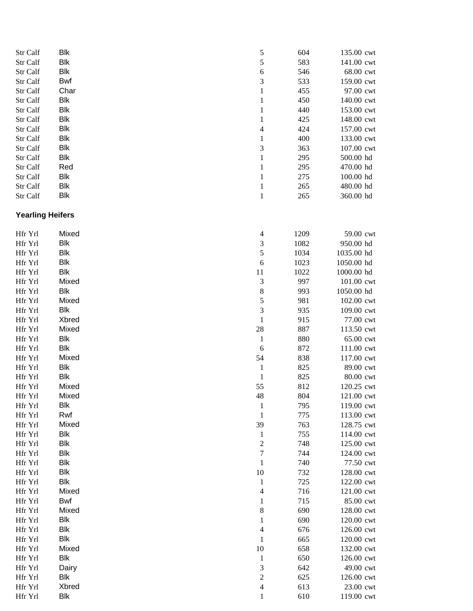| Str Calf                | <b>Blk</b> | 5                        | 604  | 135.00 cwt |
|-------------------------|------------|--------------------------|------|------------|
| Str Calf                | <b>Blk</b> | 5                        | 583  | 141.00 cwt |
| Str Calf                | <b>Blk</b> | 6                        | 546  | 68.00 cwt  |
| Str Calf                | Bwf        | 3                        | 533  | 159.00 cwt |
| Str Calf                | Char       | $\mathbf{1}$             | 455  | 97.00 cwt  |
| Str Calf                | <b>Blk</b> | $\mathbf{1}$             | 450  | 140.00 cwt |
| Str Calf                | <b>Blk</b> | $\mathbf{1}$             | 440  | 153.00 cwt |
| Str Calf                | <b>Blk</b> | $\mathbf{1}$             | 425  | 148.00 cwt |
| Str Calf                | <b>Blk</b> | $\overline{4}$           | 424  | 157.00 cwt |
| Str Calf                | <b>Blk</b> | $\mathbf{1}$             | 400  | 133.00 cwt |
| Str Calf                | <b>Blk</b> | 3                        | 363  | 107.00 cwt |
| Str Calf                | Blk        | $\mathbf{1}$             | 295  | 500.00 hd  |
| Str Calf                | Red        | $\mathbf{1}$             | 295  | 470.00 hd  |
| Str Calf                | <b>Blk</b> | $\mathbf{1}$             | 275  | 100.00 hd  |
| Str Calf                | <b>Blk</b> | $\mathbf{1}$             | 265  | 480.00 hd  |
| Str Calf                | <b>Blk</b> | $\mathbf{1}$             | 265  | 360.00 hd  |
| <b>Yearling Heifers</b> |            |                          |      |            |
| Hfr Yrl                 | Mixed      | $\overline{4}$           | 1209 | 59.00 cwt  |
| Hfr Yrl                 | <b>Blk</b> | $\mathfrak{Z}$           | 1082 | 950.00 hd  |
| Hfr Yrl                 | <b>Blk</b> | 5                        | 1034 | 1035.00 hd |
| Hfr Yrl                 | <b>Blk</b> | 6                        | 1023 | 1050.00 hd |
| Hfr Yrl                 | <b>Blk</b> | 11                       | 1022 | 1000.00 hd |
| Hfr Yrl                 | Mixed      | 3                        | 997  | 101.00 cwt |
| Hfr Yrl                 | <b>Blk</b> | $\,8\,$                  | 993  | 1050.00 hd |
| Hfr Yrl                 | Mixed      | 5                        | 981  | 102.00 cwt |
| Hfr Yrl                 | <b>Blk</b> | $\mathfrak{Z}$           | 935  | 109.00 cwt |
| Hfr Yrl                 | Xbred      | $\mathbf{1}$             | 915  | 77.00 cwt  |
| Hfr Yrl                 | Mixed      | 28                       | 887  | 113.50 cwt |
| Hfr Yrl                 | <b>Blk</b> | $\mathbf{1}$             | 880  | 65.00 cwt  |
| Hfr Yrl                 | <b>Blk</b> | 6                        | 872  | 111.00 cwt |
| Hfr Yrl                 | Mixed      | 54                       | 838  | 117.00 cwt |
| Hfr Yrl                 | <b>Blk</b> | $\mathbf{1}$             | 825  | 89.00 cwt  |
| Hfr Yrl                 | <b>Blk</b> | $\mathbf{1}$             | 825  | 80.00 cwt  |
| Hfr Yrl                 | Mixed      | 55                       | 812  | 120.25 cwt |
| Hfr Yrl                 | Mixed      | 48                       | 804  | 121.00 cwt |
| Hfr Yrl                 | Blk        | $\mathbf{1}$             | 795  | 119.00 cwt |
| Hfr Yrl                 | Rwf        | $\mathbf{1}$             | 775  | 113.00 cwt |
| Hfr Yrl                 | Mixed      | 39                       | 763  | 128.75 cwt |
| Hfr Yrl                 | <b>Blk</b> | $\mathbf{1}$             | 755  | 114.00 cwt |
| Hfr Yrl                 | <b>Blk</b> | $\overline{c}$           | 748  | 125.00 cwt |
| Hfr Yrl                 | <b>Blk</b> | $\tau$                   | 744  | 124.00 cwt |
| Hfr Yrl                 | Blk        | 1                        | 740  | 77.50 cwt  |
| Hfr Yrl                 | <b>Blk</b> | 10                       | 732  | 128.00 cwt |
| Hfr Yrl                 | <b>Blk</b> | $\mathbf{1}$             | 725  | 122.00 cwt |
| Hfr Yrl                 | Mixed      | 4                        | 716  | 121.00 cwt |
| Hfr Yrl                 | Bwf        | 1                        | 715  | 85.00 cwt  |
| Hfr Yrl                 | Mixed      | 8                        | 690  | 128.00 cwt |
| Hfr Yrl                 | Blk        | 1                        | 690  | 120.00 cwt |
| Hfr Yrl                 | Blk        | $\overline{\mathcal{A}}$ | 676  | 126.00 cwt |
| Hfr Yrl                 | <b>Blk</b> | $\mathbf{1}$             | 665  | 120.00 cwt |
| Hfr Yrl                 | Mixed      | 10                       | 658  | 132.00 cwt |
| Hfr Yrl                 | <b>Blk</b> | $\mathbf{1}$             | 650  | 126.00 cwt |
| Hfr Yrl                 | Dairy      | 3                        | 642  | 49.00 cwt  |
| Hfr Yrl                 | <b>Blk</b> | $\sqrt{2}$               | 625  | 126.00 cwt |
| Hfr Yrl                 | Xbred      | $\overline{4}$           | 613  | 23.00 cwt  |
| Hfr Yrl                 | <b>Blk</b> | 1                        | 610  | 119.00 cwt |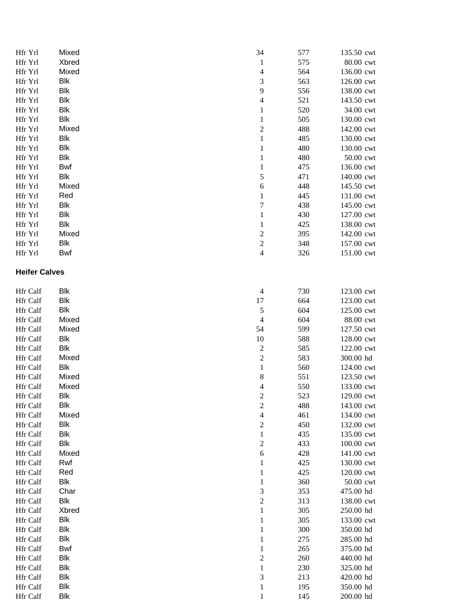| Hfr Yrl              | Mixed      | 34                       | 577 | 135.50 cwt |
|----------------------|------------|--------------------------|-----|------------|
| Hfr Yrl              | Xbred      | $\mathbf{1}$             | 575 | 80.00 cwt  |
| Hfr Yrl              | Mixed      | $\overline{4}$           | 564 | 136.00 cwt |
| Hfr Yrl              | <b>Blk</b> | 3                        | 563 | 126.00 cwt |
| Hfr Yrl              | <b>Blk</b> | 9                        | 556 | 138.00 cwt |
| Hfr Yrl              | <b>Blk</b> | $\overline{\mathcal{L}}$ | 521 | 143.50 cwt |
| Hfr Yrl              | <b>Blk</b> | 1                        | 520 | 34.00 cwt  |
| Hfr Yrl              | Blk        | $\mathbf{1}$             | 505 | 130.00 cwt |
| Hfr Yrl              | Mixed      | $\boldsymbol{2}$         | 488 | 142.00 cwt |
| Hfr Yrl              | Blk        | 1                        | 485 | 130.00 cwt |
| Hfr Yrl              | Blk        | $\mathbf{1}$             | 480 | 130.00 cwt |
| Hfr Yrl              | Blk        | $\mathbf{1}$             | 480 | 50.00 cwt  |
| Hfr Yrl              | Bwf        | $\mathbf{1}$             | 475 | 136.00 cwt |
| Hfr Yrl              | Blk        | 5                        | 471 | 140.00 cwt |
| Hfr Yrl              | Mixed      | 6                        | 448 | 145.50 cwt |
| Hfr Yrl              | Red        | $\mathbf{1}$             | 445 | 131.00 cwt |
| Hfr Yrl              | Blk        | $\boldsymbol{7}$         | 438 | 145.00 cwt |
| Hfr Yrl              | Blk        | 1                        | 430 | 127.00 cwt |
| Hfr Yrl              | <b>Blk</b> | 1                        | 425 | 138.00 cwt |
| Hfr Yrl              | Mixed      | $\overline{c}$           | 395 | 142.00 cwt |
| Hfr Yrl              | <b>Blk</b> | $\overline{c}$           | 348 | 157.00 cwt |
| Hfr Yrl              | Bwf        | $\overline{4}$           | 326 | 151.00 cwt |
| <b>Heifer Calves</b> |            |                          |     |            |
| Hfr Calf             | <b>Blk</b> | $\overline{4}$           | 730 | 123.00 cwt |
| Hfr Calf             | <b>Blk</b> | 17                       | 664 | 123.00 cwt |
| Hfr Calf             | <b>Blk</b> | 5                        | 604 | 125.00 cwt |
| Hfr Calf             | Mixed      | $\overline{4}$           | 604 | 88.00 cwt  |
| Hfr Calf             | Mixed      | 54                       | 599 | 127.50 cwt |
| Hfr Calf             | <b>Blk</b> | 10                       | 588 | 128.00 cwt |
| Hfr Calf             | Blk        | $\overline{c}$           | 585 | 122.00 cwt |
| Hfr Calf             | Mixed      | $\overline{c}$           | 583 | 300.00 hd  |
| Hfr Calf             | <b>Blk</b> | $\mathbf{1}$             | 560 | 124.00 cwt |
| Hfr Calf             | Mixed      | 8                        | 551 | 123.50 cwt |
| Hfr Calf             | Mixed      | $\overline{4}$           | 550 | 133.00 cwt |
| Hfr Calf             | <b>Blk</b> | $\overline{\mathbf{c}}$  | 523 | 129.00 cwt |
| Hfr Calf             | Blk        | $\overline{c}$           | 488 | 143.00 cwt |
| Hfr Calf             | Mixed      | $\overline{\mathcal{L}}$ | 461 | 134.00 cwt |
| Hfr Calf             | Blk        | $\boldsymbol{2}$         | 450 | 132.00 cwt |
| Hfr Calf             | Blk        | $\mathbf{1}$             | 435 | 135.00 cwt |
| <b>Hfr</b> Calf      | <b>Blk</b> | $\boldsymbol{2}$         | 433 | 100.00 cwt |
| Hfr Calf             | Mixed      | 6                        | 428 | 141.00 cwt |
| Hfr Calf             | Rwf        | 1                        | 425 | 130.00 cwt |
| Hfr Calf             | Red        | 1                        | 425 | 120.00 cwt |
| Hfr Calf             | Blk        | $\mathbf{1}$             | 360 | 50.00 cwt  |
| Hfr Calf             | Char       | 3                        | 353 | 475.00 hd  |
| Hfr Calf             | Blk        | $\overline{2}$           | 313 | 138.00 cwt |
| Hfr Calf             | Xbred      | $\mathbf{1}$             | 305 | 250.00 hd  |
| Hfr Calf             | <b>Blk</b> | $\mathbf{1}$             | 305 | 133.00 cwt |
| Hfr Calf             | <b>Blk</b> | 1                        | 300 | 350.00 hd  |
| Hfr Calf             | <b>Blk</b> | $\mathbf{1}$             | 275 | 285.00 hd  |
| Hfr Calf             | Bwf        | $\mathbf{1}$             | 265 | 375.00 hd  |
| Hfr Calf             | Blk        | $\overline{c}$           | 260 | 440.00 hd  |
| Hfr Calf             | <b>Blk</b> | 1                        | 230 | 325.00 hd  |
| Hfr Calf             | <b>Blk</b> | 3                        | 213 | 420.00 hd  |
| Hfr Calf             | Blk        | $\mathbf{1}$             | 195 | 350.00 hd  |
| Hfr Calf             | <b>Blk</b> | 1                        | 145 | 200.00 hd  |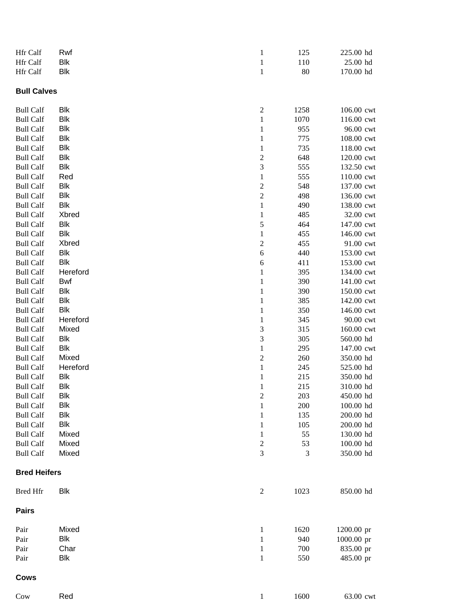| Hfr Calf                             | Rwf        | $\mathbf{1}$                | 125        | 225.00 hd              |
|--------------------------------------|------------|-----------------------------|------------|------------------------|
| Hfr Calf                             | Blk        | $\mathbf{1}$                | 110        | 25.00 hd               |
| Hfr Calf                             | Blk        | $\mathbf{1}$                | 80         | 170.00 hd              |
| <b>Bull Calves</b>                   |            |                             |            |                        |
| <b>Bull Calf</b>                     | Blk        | $\overline{\mathbf{c}}$     | 1258       | 106.00 cwt             |
| <b>Bull Calf</b>                     | Blk        | $\,1$                       | 1070       | 116.00 cwt             |
| <b>Bull Calf</b>                     | Blk        | $\mathbf{1}$                | 955        | 96.00 cwt              |
| <b>Bull Calf</b>                     | Blk        | $\mathbf{1}$                | 775        | 108.00 cwt             |
| <b>Bull Calf</b>                     | Blk        | $\mathbf{1}$                | 735        | 118.00 cwt             |
| <b>Bull Calf</b>                     | Blk        | $\sqrt{2}$                  | 648        | 120.00 cwt             |
| <b>Bull Calf</b>                     | Blk        | $\mathfrak{Z}$              | 555        | 132.50 cwt             |
| <b>Bull Calf</b>                     | Red        | $\,1$                       | 555        | 110.00 cwt             |
| <b>Bull Calf</b>                     | Blk        | $\sqrt{2}$                  | 548        | 137.00 cwt             |
| <b>Bull Calf</b>                     | Blk        | $\sqrt{2}$                  | 498        | 136.00 cwt             |
| <b>Bull Calf</b>                     | Blk        | $\,1$                       | 490        | 138.00 cwt             |
| <b>Bull Calf</b>                     | Xbred      | $\mathbf{1}$                | 485        | 32.00 cwt              |
| <b>Bull Calf</b>                     | Blk        | $\mathfrak s$               | 464        | 147.00 cwt             |
| <b>Bull Calf</b>                     | Blk        | $\mathbf{1}$                | 455        | 146.00 cwt             |
| <b>Bull Calf</b>                     | Xbred      | $\boldsymbol{2}$            | 455        | 91.00 cwt              |
| <b>Bull Calf</b>                     | Blk        | $\sqrt{6}$                  | 440        | 153.00 cwt             |
| <b>Bull Calf</b>                     | Blk        | 6                           | 411        | 153.00 cwt             |
| <b>Bull Calf</b>                     | Hereford   | $\mathbf{1}$                | 395        | 134.00 cwt             |
| <b>Bull Calf</b>                     | Bwf        | $\mathbf{1}$                | 390        | 141.00 cwt             |
| <b>Bull Calf</b>                     | Blk        | $\mathbf{1}$                | 390        | 150.00 cwt             |
| <b>Bull Calf</b>                     | Blk        | $\mathbf{1}$                | 385        | 142.00 cwt             |
| <b>Bull Calf</b>                     | Blk        | $\mathbf{1}$                | 350        | 146.00 cwt             |
| <b>Bull Calf</b>                     | Hereford   | $\mathbf{1}$                | 345        | 90.00 cwt              |
| <b>Bull Calf</b>                     | Mixed      | $\ensuremath{\mathfrak{Z}}$ | 315        | 160.00 cwt             |
| <b>Bull Calf</b>                     | <b>Blk</b> | $\mathfrak{Z}$              | 305        | 560.00 hd              |
| <b>Bull Calf</b>                     | <b>Blk</b> | $\,1$                       | 295        | 147.00 cwt             |
| <b>Bull Calf</b>                     | Mixed      | $\sqrt{2}$                  | 260        | 350.00 hd              |
| <b>Bull Calf</b>                     | Hereford   | $\,1$                       | 245        | 525.00 hd              |
| <b>Bull Calf</b>                     | Blk<br>Blk | $\mathbf{1}$                | 215        | 350.00 hd<br>310.00 hd |
| <b>Bull Calf</b><br><b>Bull Calf</b> | <b>Blk</b> | $\mathbf{1}$                | 215<br>203 | 450.00 hd              |
| <b>Bull Calf</b>                     | <b>Blk</b> | $\sqrt{2}$                  | 200        | 100.00 hd              |
| <b>Bull Calf</b>                     | <b>Blk</b> | $\mathbf{1}$<br>1           | 135        | 200.00 hd              |
| <b>Bull Calf</b>                     | Blk        | 1                           | 105        | 200.00 hd              |
| <b>Bull Calf</b>                     | Mixed      | $\mathbf{1}$                | 55         | 130.00 hd              |
| <b>Bull Calf</b>                     | Mixed      | $\sqrt{2}$                  | 53         | 100.00 hd              |
| <b>Bull Calf</b>                     | Mixed      | 3                           | 3          | 350.00 hd              |
| <b>Bred Heifers</b>                  |            |                             |            |                        |
| <b>Bred Hfr</b>                      | <b>Blk</b> | $\boldsymbol{2}$            | 1023       | 850.00 hd              |
| <b>Pairs</b>                         |            |                             |            |                        |
| Pair                                 | Mixed      | $\mathbf{1}$                | 1620       | 1200.00 pr             |
| Pair                                 | Blk        | 1                           | 940        | 1000.00 pr             |
| Pair                                 | Char       | $\mathbf{1}$                | 700        | 835.00 pr              |
| Pair                                 | Blk        | $\mathbf{1}$                | 550        | 485.00 pr              |
| <b>Cows</b>                          |            |                             |            |                        |
| Cow                                  | Red        | $\mathbf{1}$                | 1600       | 63.00 cwt              |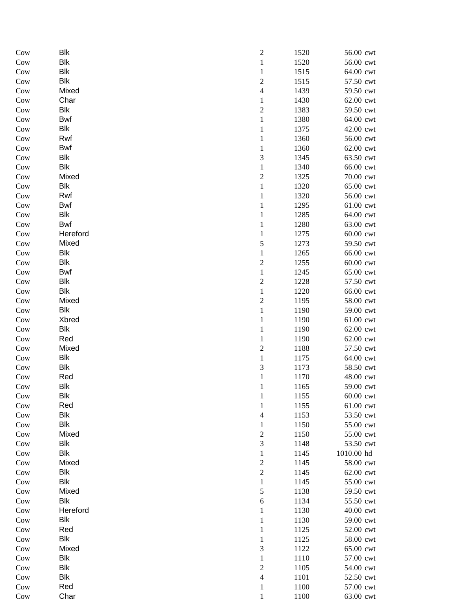| Cow             | Blk        | $\boldsymbol{2}$                 | 1520         | 56.00 cwt              |
|-----------------|------------|----------------------------------|--------------|------------------------|
| Cow             | <b>Blk</b> | $\,1$                            | 1520         | 56.00 cwt              |
| Cow             | <b>Blk</b> | $\mathbf{1}$                     | 1515         | 64.00 cwt              |
| Cow             | Blk        | $\overline{c}$                   | 1515         | 57.50 cwt              |
| Cow             | Mixed      | $\overline{\mathcal{L}}$         | 1439         | 59.50 cwt              |
| Cow             | Char       | $\mathbf{1}$                     | 1430         | 62.00 cwt              |
| Cow             | Blk        | $\overline{c}$                   | 1383         | 59.50 cwt              |
| Cow             | <b>Bwf</b> | $\mathbf{1}$                     | 1380         | 64.00 cwt              |
| Cow             | Blk        | $\mathbf{1}$                     | 1375         | 42.00 cwt              |
| Cow             | Rwf        | $\mathbf{1}$                     | 1360         | 56.00 cwt              |
| Cow             | Bwf        | $\mathbf{1}$                     | 1360         | 62.00 cwt              |
| Cow             | Blk        | 3                                | 1345         | 63.50 cwt              |
| Cow             | Blk        | 1                                | 1340         | 66.00 cwt              |
| Cow             | Mixed      | $\overline{c}$                   | 1325         | 70.00 cwt              |
| $_{\text{Cow}}$ | Blk        | $\,1$                            | 1320         | 65.00 cwt              |
| Cow             | Rwf        | $\mathbf{1}$                     | 1320         | 56.00 cwt              |
| Cow             | <b>Bwf</b> | $\mathbf{1}$                     | 1295         | 61.00 cwt              |
| Cow             | Blk        | $\mathbf{1}$                     | 1285         | 64.00 cwt              |
| Cow             | Bwf        | $\mathbf{1}$                     | 1280         | 63.00 cwt              |
| Cow             | Hereford   | $\mathbf{1}$                     | 1275         | 60.00 cwt              |
| Cow             | Mixed      | 5                                | 1273         | 59.50 cwt              |
| Cow             | <b>Blk</b> | $\mathbf{1}$                     | 1265         | 66.00 cwt              |
| Cow             | Blk        | $\overline{c}$                   | 1255         | 60.00 cwt              |
| Cow             | Bwf        | $\mathbf{1}$                     | 1245         | 65.00 cwt              |
| Cow             | Blk        | $\sqrt{2}$                       | 1228         | 57.50 cwt              |
| Cow             | Blk        | $\mathbf{1}$                     | 1220         | 66.00 cwt              |
| Cow             | Mixed      | $\overline{c}$                   | 1195         | 58.00 cwt              |
| Cow             | Blk        | $\mathbf{1}$                     | 1190         | 59.00 cwt              |
| Cow             | Xbred      | $\mathbf{1}$                     | 1190         | 61.00 cwt              |
| Cow             | Blk        | 1                                | 1190         | 62.00 cwt              |
| Cow             | Red        | $\mathbf{1}$                     | 1190         | 62.00 cwt              |
| Cow             | Mixed      | $\overline{c}$                   | 1188         | 57.50 cwt              |
| Cow             | Blk        | $\mathbf 1$                      | 1175         | 64.00 cwt              |
| Cow             | Blk        | 3                                | 1173         | 58.50 cwt              |
| Cow             | Red        | $\mathbf{1}$                     | 1170         | 48.00 cwt              |
| Cow             | Blk        | $\mathbf{1}$                     | 1165         | 59.00 cwt              |
| Cow             | <b>Blk</b> | 1                                | 1155         | 60.00 cwt              |
| Cow             | Red<br>Blk | $\mathbf{1}$                     | 1155         | 61.00 cwt              |
| Cow             | Blk        | $\overline{4}$                   | 1153         | 53.50 cwt              |
| Cow<br>Cow      | Mixed      | $\mathbf{1}$<br>$\boldsymbol{2}$ | 1150<br>1150 | 55.00 cwt<br>55.00 cwt |
| Cow             | Blk        | 3                                | 1148         | 53.50 cwt              |
| Cow             | Blk        | $\mathbf{1}$                     | 1145         | 1010.00 hd             |
| Cow             | Mixed      | $\overline{\mathbf{c}}$          | 1145         | 58.00 cwt              |
| Cow             | Blk        | $\overline{c}$                   | 1145         | 62.00 cwt              |
| Cow             | <b>Blk</b> | $\mathbf{1}$                     | 1145         | 55.00 cwt              |
| $_{\text{Cow}}$ | Mixed      | 5                                | 1138         | 59.50 cwt              |
| Cow             | <b>Blk</b> | $\sqrt{6}$                       | 1134         | 55.50 cwt              |
| Cow             | Hereford   | $\mathbf{1}$                     | 1130         | 40.00 cwt              |
| Cow             | <b>Blk</b> | $\mathbf{1}$                     | 1130         | 59.00 cwt              |
| Cow             | Red        | 1                                | 1125         | 52.00 cwt              |
| Cow             | <b>Blk</b> | $\mathbf{1}$                     | 1125         | 58.00 cwt              |
| Cow             | Mixed      | $\mathfrak{Z}$                   | 1122         | 65.00 cwt              |
| Cow             | <b>Blk</b> | $\mathbf{1}$                     | 1110         | 57.00 cwt              |
| Cow             | <b>Blk</b> | $\overline{c}$                   | 1105         | 54.00 cwt              |
| Cow             | <b>Blk</b> | 4                                | 1101         | 52.50 cwt              |
| Cow             | Red        | $\mathbf{1}$                     | 1100         | 57.00 cwt              |
| Cow             | Char       | $\mathbf{1}$                     | 1100         | 63.00 cwt              |
|                 |            |                                  |              |                        |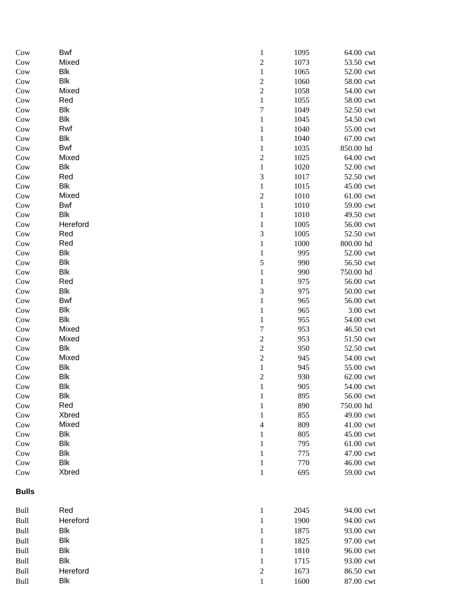| Cow          | Bwf        | $\mathbf{1}$     | 1095 | 64.00 cwt |
|--------------|------------|------------------|------|-----------|
| Cow          | Mixed      | $\overline{c}$   | 1073 | 53.50 cwt |
| Cow          | <b>Blk</b> | $\,1$            | 1065 | 52.00 cwt |
| Cow          | <b>Blk</b> | $\sqrt{2}$       | 1060 | 58.00 cwt |
| Cow          | Mixed      | $\sqrt{2}$       | 1058 | 54.00 cwt |
| Cow          | Red        | $\mathbf{1}$     | 1055 | 58.00 cwt |
| Cow          | Blk        | $\boldsymbol{7}$ | 1049 | 52.50 cwt |
| Cow          | Blk        | $\mathbf{1}$     | 1045 | 54.50 cwt |
| Cow          | Rwf        | $\mathbf{1}$     | 1040 | 55.00 cwt |
| Cow          | Blk        | $\mathbf{1}$     | 1040 | 67.00 cwt |
| Cow          | Bwf        | $\mathbf{1}$     | 1035 | 850.00 hd |
| Cow          | Mixed      | $\overline{c}$   | 1025 | 64.00 cwt |
| Cow          | Blk        | $\,1$            | 1020 | 52.00 cwt |
| Cow          | Red        | 3                | 1017 | 52.50 cwt |
| Cow          | <b>Blk</b> | $\,1$            | 1015 | 45.00 cwt |
| Cow          | Mixed      | $\overline{2}$   | 1010 | 61.00 cwt |
| Cow          | Bwf        | $\,1$            | 1010 | 59.00 cwt |
| Cow          | <b>Blk</b> | $\mathbf{1}$     | 1010 | 49.50 cwt |
| Cow          | Hereford   | $\mathbf{1}$     | 1005 | 56.00 cwt |
| Cow          | Red        | 3                | 1005 | 52.50 cwt |
| Cow          | Red        | 1                | 1000 | 800.00 hd |
| Cow          | Blk        | 1                | 995  | 52.00 cwt |
| Cow          | Blk        | 5                | 990  | 56.50 cwt |
| Cow          | Blk        | 1                | 990  | 750.00 hd |
| Cow          | Red        | $\mathbf{1}$     | 975  | 56.00 cwt |
| Cow          | Blk        | 3                | 975  | 50.00 cwt |
| Cow          | Bwf        | $\mathbf{1}$     | 965  | 56.00 cwt |
| Cow          | Blk        | $\mathbf{1}$     | 965  | 3.00 cwt  |
| Cow          | Blk        | $\mathbf{1}$     | 955  | 54.00 cwt |
| Cow          | Mixed      | 7                | 953  | 46.50 cwt |
| Cow          | Mixed      | $\sqrt{2}$       | 953  | 51.50 cwt |
| Cow          | <b>Blk</b> | $\sqrt{2}$       | 950  | 52.50 cwt |
| Cow          | Mixed      | $\overline{c}$   | 945  | 54.00 cwt |
| Cow          | <b>Blk</b> | $\,1$            | 945  | 55.00 cwt |
| Cow          | <b>Blk</b> | $\overline{c}$   | 930  | 62.00 cwt |
| Cow          | <b>Blk</b> | $\,1$            | 905  | 54.00 cwt |
| Cow          | Blk        | 1                | 895  | 56.00 cwt |
| Cow          | Red        | 1                | 890  | 750.00 hd |
| Cow          | Xbred      | 1                | 855  | 49.00 cwt |
| Cow          | Mixed      | 4                | 809  | 41.00 cwt |
| Cow          | <b>Blk</b> | 1                | 805  | 45.00 cwt |
| Cow          | <b>Blk</b> | 1                | 795  | 61.00 cwt |
| Cow          | Blk        | 1                | 775  | 47.00 cwt |
| Cow          | Blk        | $\mathbf{1}$     | 770  | 46.00 cwt |
| Cow          | Xbred      | $\mathbf{1}$     | 695  | 59.00 cwt |
| <b>Bulls</b> |            |                  |      |           |
| Bull         | Red        | $\mathbf{1}$     | 2045 | 94.00 cwt |
| Bull         | Hereford   | 1                | 1900 | 94.00 cwt |
| <b>Bull</b>  | <b>Blk</b> | 1                | 1875 | 93.00 cwt |
| <b>Bull</b>  | Blk        | 1                | 1825 | 97.00 cwt |
| <b>Bull</b>  | Blk        | 1                | 1810 | 96.00 cwt |
| Bull         | Blk        | $\mathbf{1}$     | 1715 | 93.00 cwt |
| Bull         | Hereford   | $\boldsymbol{2}$ | 1673 | 86.50 cwt |
|              |            |                  |      |           |
| Bull         | <b>Blk</b> | $\mathbf{1}$     | 1600 | 87.00 cwt |